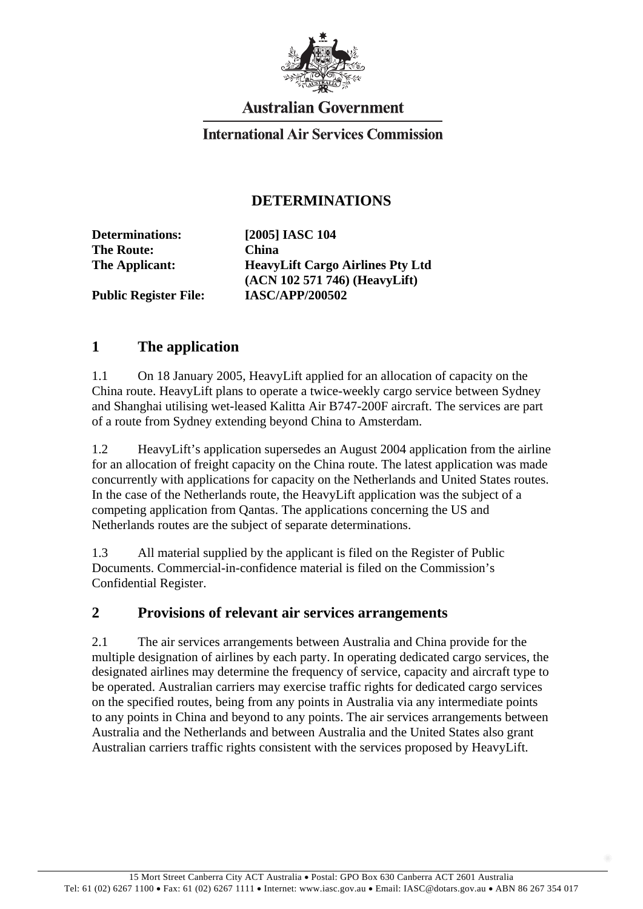

## **Australian Government**

### **International Air Services Commission**

### **DETERMINATIONS**

**Determinations: [2005] IASC 104 The Route: China** 

**The Applicant: HeavyLift Cargo Airlines Pty Ltd (ACN 102 571 746) (HeavyLift) Public Register File: IASC/APP/200502** 

# **1 The application**

1.1 On 18 January 2005, HeavyLift applied for an allocation of capacity on the China route. HeavyLift plans to operate a twice-weekly cargo service between Sydney and Shanghai utilising wet-leased Kalitta Air B747-200F aircraft. The services are part of a route from Sydney extending beyond China to Amsterdam.

1.2 HeavyLift's application supersedes an August 2004 application from the airline for an allocation of freight capacity on the China route. The latest application was made concurrently with applications for capacity on the Netherlands and United States routes. In the case of the Netherlands route, the HeavyLift application was the subject of a competing application from Qantas. The applications concerning the US and Netherlands routes are the subject of separate determinations.

1.3 All material supplied by the applicant is filed on the Register of Public Documents. Commercial-in-confidence material is filed on the Commission's Confidential Register.

#### **2 Provisions of relevant air services arrangements**

2.1 The air services arrangements between Australia and China provide for the multiple designation of airlines by each party. In operating dedicated cargo services, the designated airlines may determine the frequency of service, capacity and aircraft type to be operated. Australian carriers may exercise traffic rights for dedicated cargo services on the specified routes, being from any points in Australia via any intermediate points to any points in China and beyond to any points. The air services arrangements between Australia and the Netherlands and between Australia and the United States also grant Australian carriers traffic rights consistent with the services proposed by HeavyLift.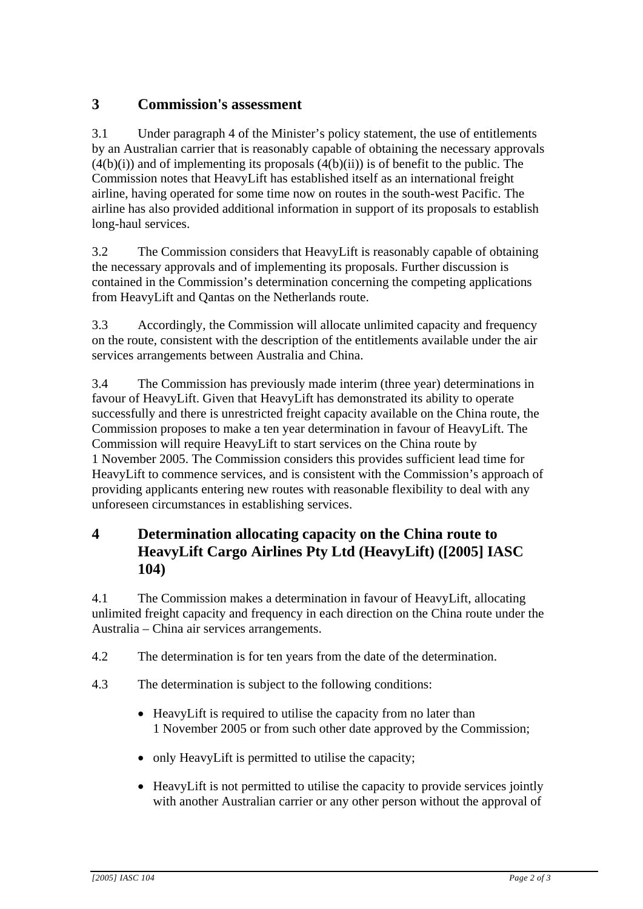## **3 Commission's assessment**

3.1 Under paragraph 4 of the Minister's policy statement, the use of entitlements by an Australian carrier that is reasonably capable of obtaining the necessary approvals  $(4(b)(i))$  and of implementing its proposals  $(4(b)(ii))$  is of benefit to the public. The Commission notes that HeavyLift has established itself as an international freight airline, having operated for some time now on routes in the south-west Pacific. The airline has also provided additional information in support of its proposals to establish long-haul services.

3.2 The Commission considers that HeavyLift is reasonably capable of obtaining the necessary approvals and of implementing its proposals. Further discussion is contained in the Commission's determination concerning the competing applications from HeavyLift and Qantas on the Netherlands route.

3.3 Accordingly, the Commission will allocate unlimited capacity and frequency on the route, consistent with the description of the entitlements available under the air services arrangements between Australia and China.

3.4 The Commission has previously made interim (three year) determinations in favour of HeavyLift. Given that HeavyLift has demonstrated its ability to operate successfully and there is unrestricted freight capacity available on the China route, the Commission proposes to make a ten year determination in favour of HeavyLift. The Commission will require HeavyLift to start services on the China route by 1 November 2005. The Commission considers this provides sufficient lead time for HeavyLift to commence services, and is consistent with the Commission's approach of providing applicants entering new routes with reasonable flexibility to deal with any unforeseen circumstances in establishing services.

## **4 Determination allocating capacity on the China route to HeavyLift Cargo Airlines Pty Ltd (HeavyLift) ([2005] IASC 104)**

4.1 The Commission makes a determination in favour of HeavyLift, allocating unlimited freight capacity and frequency in each direction on the China route under the Australia – China air services arrangements.

- 4.2 The determination is for ten years from the date of the determination.
- 4.3 The determination is subject to the following conditions:
	- HeavyLift is required to utilise the capacity from no later than 1 November 2005 or from such other date approved by the Commission;
	- only HeavyLift is permitted to utilise the capacity;
	- HeavyLift is not permitted to utilise the capacity to provide services jointly with another Australian carrier or any other person without the approval of